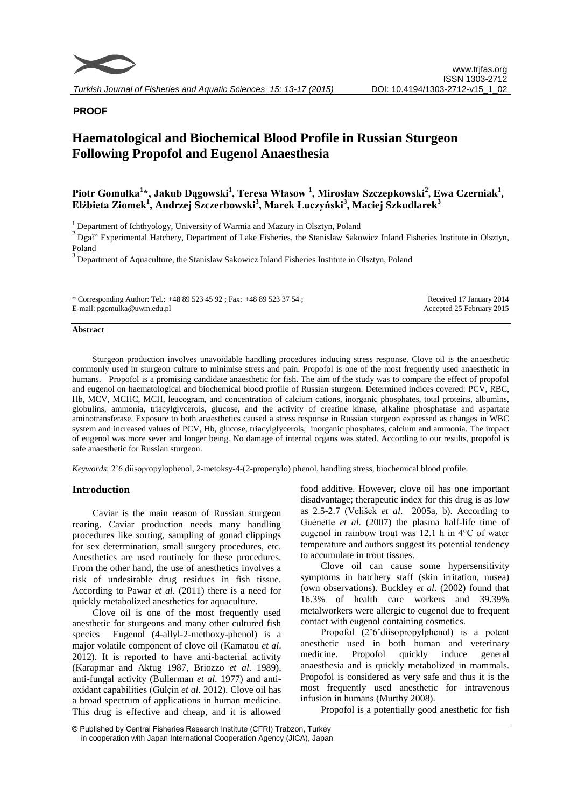

# **PROOF**

# **Haematological and Biochemical Blood Profile in Russian Sturgeon Following Propofol and Eugenol Anaesthesia**

# **Piotr Gomułka<sup>1</sup> \*, Jakub Dągowski<sup>1</sup> , Teresa Własow <sup>1</sup> , Mirosław Szczepkowski<sup>2</sup> , Ewa Czerniak<sup>1</sup> , Elżbieta Ziomek<sup>1</sup> , Andrzej Szczerbowski<sup>3</sup> , Marek Łuczyński<sup>3</sup> , Maciej Szkudlarek<sup>3</sup>**

<sup>1</sup> Department of Ichthyology, University of Warmia and Mazury in Olsztyn, Poland

 $2Dgal$ " Experimental Hatchery, Department of Lake Fisheries, the Stanislaw Sakowicz Inland Fisheries Institute in Olsztyn, Poland

 $3$  Department of Aquaculture, the Stanislaw Sakowicz Inland Fisheries Institute in Olsztyn, Poland

\* Corresponding Author: Tel.: +48 89 523 45 92 ; Fax: +48 89 523 37 54 ; E-mail: pgomulka@uwm.edu.pl

Received 17 January 2014 Accepted 25 February 2015

#### **Abstract**

Sturgeon production involves unavoidable handling procedures inducing stress response. Clove oil is the anaesthetic commonly used in sturgeon culture to minimise stress and pain. Propofol is one of the most frequently used anaesthetic in humans. Propofol is a promising candidate anaesthetic for fish. The aim of the study was to compare the effect of propofol and eugenol on haematological and biochemical blood profile of Russian sturgeon. Determined indices covered: PCV, RBC, Hb, MCV, MCHC, MCH, leucogram, and concentration of calcium cations, inorganic phosphates, total proteins, albumins, globulins, ammonia, triacylglycerols, glucose, and the activity of creatine kinase, alkaline phosphatase and aspartate aminotransferase. Exposure to both anaesthetics caused a stress response in Russian sturgeon expressed as changes in WBC system and increased values of PCV, Hb, glucose, triacylglycerols, inorganic phosphates, calcium and ammonia. The impact of eugenol was more sever and longer being. No damage of internal organs was stated. According to our results, propofol is safe anaesthetic for Russian sturgeon.

*Keywords*: 2'6 diisopropylophenol, 2-metoksy-4-(2-propenylo) phenol, handling stress, biochemical blood profile.

#### **Introduction**

Caviar is the main reason of Russian sturgeon rearing. Caviar production needs many handling procedures like sorting, sampling of gonad clippings for sex determination, small surgery procedures, etc. Anesthetics are used routinely for these procedures. From the other hand, the use of anesthetics involves a risk of undesirable drug residues in fish tissue. According to Pawar *et al*. (2011) there is a need for quickly metabolized anesthetics for aquaculture.

Clove oil is one of the most frequently used anesthetic for sturgeons and many other cultured fish species Eugenol (4-allyl-2-methoxy-phenol) is a major volatile component of clove oil (Kamatou *et al*. 2012). It is reported to have anti-bacterial activity (Karapmar and Aktug 1987, Briozzo *et al*. 1989), anti-fungal activity (Bullerman *et al*. 1977) and antioxidant capabilities (Gülçin *et al*. 2012). Clove oil has a broad spectrum of applications in human medicine. This drug is effective and cheap, and it is allowed

food additive. However, clove oil has one important disadvantage; therapeutic index for this drug is as low as 2.5-2.7 (Velišek *et al*. 2005a, b). According to Guénette *et al*. (2007) the plasma half-life time of eugenol in rainbow trout was 12.1 h in 4°C of water temperature and authors suggest its potential tendency to accumulate in trout tissues.

Clove oil can cause some hypersensitivity symptoms in hatchery staff (skin irritation, nusea) (own observations). Buckley *et al*. (2002) found that 16.3% of health care workers and 39.39% metalworkers were allergic to eugenol due to frequent contact with eugenol containing cosmetics.

Propofol (2'6'diisopropylphenol) is a potent anesthetic used in both human and veterinary medicine. Propofol quickly induce general anaesthesia and is quickly metabolized in mammals. Propofol is considered as very safe and thus it is the most frequently used anesthetic for intravenous infusion in humans (Murthy 2008).

Propofol is a potentially good anesthetic for fish

<sup>©</sup> Published by Central Fisheries Research Institute (CFRI) Trabzon, Turkey in cooperation with Japan International Cooperation Agency (JICA), Japan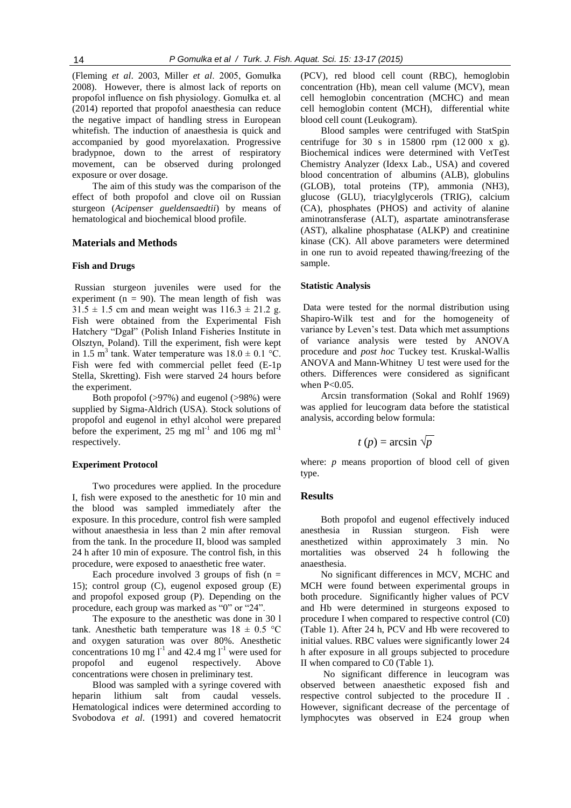(Fleming *et al*. 2003, Miller *et al*. 2005, Gomułka 2008). However, there is almost lack of reports on propofol influence on fish physiology. Gomułka et. al (2014) reported that propofol anaesthesia can reduce the negative impact of handling stress in European whitefish. The induction of anaesthesia is quick and accompanied by good myorelaxation. Progressive bradypnoe, down to the arrest of respiratory movement, can be observed during prolonged exposure or over dosage.

The aim of this study was the comparison of the effect of both propofol and clove oil on Russian sturgeon (*Acipenser gueldensaedtii*) by means of hematological and biochemical blood profile.

# **Materials and Methods**

# **Fish and Drugs**

Russian sturgeon juveniles were used for the experiment ( $n = 90$ ). The mean length of fish was  $31.5 \pm 1.5$  cm and mean weight was  $116.3 \pm 21.2$  g. Fish were obtained from the Experimental Fish Hatchery "Dgał" (Polish Inland Fisheries Institute in Olsztyn, Poland). Till the experiment, fish were kept in 1.5 m<sup>3</sup> tank. Water temperature was  $18.0 \pm 0.1$  °C. Fish were fed with commercial pellet feed (E-1p Stella, Skretting). Fish were starved 24 hours before the experiment.

Both propofol (>97%) and eugenol (>98%) were supplied by Sigma-Aldrich (USA). Stock solutions of propofol and eugenol in ethyl alcohol were prepared before the experiment, 25 mg ml<sup>-1</sup> and 106 mg ml<sup>-1</sup> respectively.

# **Experiment Protocol**

Two procedures were applied. In the procedure I, fish were exposed to the anesthetic for 10 min and the blood was sampled immediately after the exposure. In this procedure, control fish were sampled without anaesthesia in less than 2 min after removal from the tank. In the procedure II, blood was sampled 24 h after 10 min of exposure. The control fish, in this procedure, were exposed to anaesthetic free water.

Each procedure involved 3 groups of fish  $(n =$ 15); control group (C), eugenol exposed group (E) and propofol exposed group (P). Depending on the procedure, each group was marked as "0" or "24".

The exposure to the anesthetic was done in 30 l tank. Anesthetic bath temperature was  $18 \pm 0.5$  °C and oxygen saturation was over 80%. Anesthetic concentrations 10 mg  $l^{-1}$  and 42.4 mg  $l^{-1}$  were used for propofol and eugenol respectively. Above concentrations were chosen in preliminary test.

Blood was sampled with a syringe covered with heparin lithium salt from caudal vessels. Hematological indices were determined according to Svobodova *et al*. (1991) and covered hematocrit

(PCV), red blood cell count (RBC), hemoglobin concentration (Hb), mean cell valume (MCV), mean cell hemoglobin concentration (MCHC) and mean cell hemoglobin content (MCH), differential white blood cell count (Leukogram).

Blood samples were centrifuged with StatSpin centrifuge for 30 s in 15800 rpm (12 000 x g). Biochemical indices were determined with VetTest Chemistry Analyzer (Idexx Lab., USA) and covered blood concentration of albumins (ALB), globulins (GLOB), total proteins (TP), ammonia (NH3), glucose (GLU), triacylglycerols (TRIG), calcium (CA), phosphates (PHOS) and activity of alanine aminotransferase (ALT), aspartate aminotransferase (AST), alkaline phosphatase (ALKP) and creatinine kinase (CK). All above parameters were determined in one run to avoid repeated thawing/freezing of the sample.

#### **Statistic Analysis**

Data were tested for the normal distribution using Shapiro-Wilk test and for the homogeneity of variance by Leven's test. Data which met assumptions of variance analysis were tested by ANOVA procedure and *post hoc* Tuckey test. Kruskal-Wallis ANOVA and Mann-Whitney U test were used for the others. Differences were considered as significant when  $P<0.05$ .

Arcsin transformation (Sokal and Rohlf 1969) was applied for leucogram data before the statistical analysis, according below formula:

$$
t(p) = \arcsin \sqrt{p}
$$

where: *p* means proportion of blood cell of given type.

# **Results**

Both propofol and eugenol effectively induced anesthesia in Russian sturgeon. Fish were anesthetized within approximately 3 min. No mortalities was observed 24 h following the anaesthesia.

No significant differences in MCV, MCHC and MCH were found between experimental groups in both procedure. Significantly higher values of PCV and Hb were determined in sturgeons exposed to procedure I when compared to respective control (C0) (Table 1). After 24 h, PCV and Hb were recovered to initial values. RBC values were significantly lower 24 h after exposure in all groups subjected to procedure II when compared to C0 (Table 1).

No significant difference in leucogram was observed between anaesthetic exposed fish and respective control subjected to the procedure II . However, significant decrease of the percentage of lymphocytes was observed in E24 group when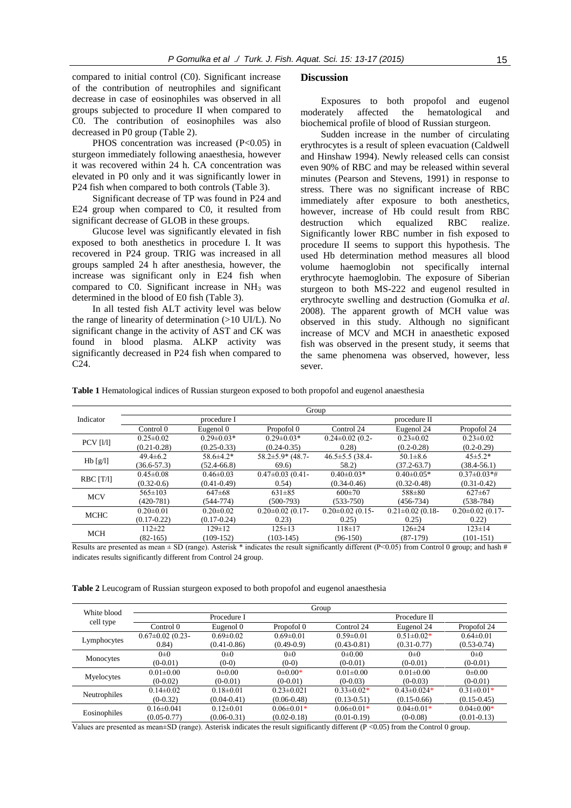compared to initial control (C0). Significant increase of the contribution of neutrophiles and significant decrease in case of eosinophiles was observed in all groups subjected to procedure II when compared to C0. The contribution of eosinophiles was also decreased in P0 group (Table 2).

PHOS concentration was increased  $(P<0.05)$  in sturgeon immediately following anaesthesia, however it was recovered within 24 h. CA concentration was elevated in P0 only and it was significantly lower in P24 fish when compared to both controls (Table 3).

Significant decrease of TP was found in P24 and E24 group when compared to C0, it resulted from significant decrease of GLOB in these groups.

Glucose level was significantly elevated in fish exposed to both anesthetics in procedure I. It was recovered in P24 group. TRIG was increased in all groups sampled 24 h after anesthesia, however, the increase was significant only in E24 fish when compared to C0. Significant increase in  $NH<sub>3</sub>$  was determined in the blood of E0 fish (Table 3).

In all tested fish ALT activity level was below the range of linearity of determination (>10 UI/L). No significant change in the activity of AST and CK was found in blood plasma. ALKP activity was significantly decreased in P24 fish when compared to C24.

#### **Discussion**

Exposures to both propofol and eugenol moderately affected the hematological and biochemical profile of blood of Russian sturgeon.

Sudden increase in the number of circulating erythrocytes is a result of spleen evacuation (Caldwell and Hinshaw 1994). Newly released cells can consist even 90% of RBC and may be released within several minutes (Pearson and Stevens, 1991) in response to stress. There was no significant increase of RBC immediately after exposure to both anesthetics, however, increase of Hb could result from RBC destruction which equalized RBC realize. Significantly lower RBC number in fish exposed to procedure II seems to support this hypothesis. The used Hb determination method measures all blood volume haemoglobin not specifically internal erythrocyte haemoglobin. The exposure of Siberian sturgeon to both MS-222 and eugenol resulted in erythrocyte swelling and destruction (Gomułka *et al*. 2008). The apparent growth of MCH value was observed in this study. Although no significant increase of MCV and MCH in anaesthetic exposed fish was observed in the present study, it seems that the same phenomena was observed, however, less sever.

**Table 1** Hematological indices of Russian sturgeon exposed to both propofol and eugenol anaesthesia

|                  | Group           |                  |                         |                        |                        |                        |  |
|------------------|-----------------|------------------|-------------------------|------------------------|------------------------|------------------------|--|
| Indicator        | procedure I     |                  |                         | procedure II           |                        |                        |  |
|                  | Control 0       | Eugenol 0        | Propofol 0              | Control 24             | Eugenol 24             | Propofol 24            |  |
| <b>PCV</b> [1/1] | $0.25 \pm 0.02$ | $0.29 \pm 0.03*$ | $0.29 \pm 0.03*$        | $0.24 \pm 0.02$ (0.2-  | $0.23 \pm 0.02$        | $0.23 \pm 0.02$        |  |
|                  | $(0.21 - 0.28)$ | $(0.25 - 0.33)$  | $(0.24 - 0.35)$         | 0.28                   | $(0.2 - 0.28)$         | $(0.2 - 0.29)$         |  |
| Hb [g/l]         | $49.4 \pm 6.2$  | $58.6 \pm 4.2*$  | $58.2 \pm 5.9$ * (48.7- | $46.5 \pm 5.5$ (38.4-  | $50.1 \pm 8.6$         | $45\pm5.2*$            |  |
|                  | $(36.6 - 57.3)$ | $(52.4 - 66.8)$  | 69.6                    | 58.2)                  | $(37.2 - 63.7)$        | $(38.4 - 56.1)$        |  |
| $RBC$ [T/I]      | $0.45 \pm 0.08$ | $0.46 \pm 0.03$  | $0.47 \pm 0.03$ (0.41-  | $0.40 \pm 0.03*$       | $0.40 \pm 0.05*$       | $0.37 \pm 0.03* \#$    |  |
|                  | $(0.32 - 0.6)$  | $(0.41 - 0.49)$  | (0.54)                  | $(0.34 - 0.46)$        | $(0.32 - 0.48)$        | $(0.31 - 0.42)$        |  |
| <b>MCV</b>       | $565 \pm 103$   | $647\pm68$       | $631\pm85$              | $600\pm70$             | 588±80                 | $627 \pm 67$           |  |
|                  | $(420 - 781)$   | $(544 - 774)$    | $(500-793)$             | $(533 - 750)$          | $(456 - 734)$          | $(538-784)$            |  |
| <b>MCHC</b>      | $0.20 \pm 0.01$ | $0.20 \pm 0.02$  | $0.20 \pm 0.02$ (0.17-  | $0.20 \pm 0.02$ (0.15- | $0.21 \pm 0.02$ (0.18- | $0.20 \pm 0.02$ (0.17- |  |
|                  | $(0.17 - 0.22)$ | $(0.17 - 0.24)$  | 0.23)                   | 0.25)                  | 0.25)                  | 0.22)                  |  |
| <b>MCH</b>       | $112\pm 22$     | $129 \pm 12$     | $125 \pm 13$            | $118 \pm 17$           | $126 \pm 24$           | $123 \pm 14$           |  |
|                  | $(82-165)$      | $(109-152)$      | $(103-145)$             | $(96-150)$             | $(87-179)$             | $(101-151)$            |  |

Results are presented as mean  $\pm$  SD (range). Asterisk \* indicates the result significantly different (P<0.05) from Control 0 group; and hash # indicates results significantly different from Control 24 group.

**Table 2** Leucogram of Russian sturgeon exposed to both propofol and eugenol anaesthesia

| White blood<br>cell type | Group                  |                 |                  |                  |                   |                  |  |
|--------------------------|------------------------|-----------------|------------------|------------------|-------------------|------------------|--|
|                          | Procedure I            |                 |                  | Procedure II     |                   |                  |  |
|                          | Control 0              | Eugenol 0       | Propofol 0       | Control 24       | Eugenol 24        | Propofol 24      |  |
| Lymphocytes              | $0.67 \pm 0.02$ (0.23- | $0.69 \pm 0.02$ | $0.69 \pm 0.01$  | $0.59 \pm 0.01$  | $0.51 \pm 0.02*$  | $0.64 \pm 0.01$  |  |
|                          | (0.84)                 | $(0.41 - 0.86)$ | $(0.49-0.9)$     | $(0.43 - 0.81)$  | $(0.31 - 0.77)$   | $(0.53 - 0.74)$  |  |
| Monocytes                | $0\pm 0$               | $0\pm 0$        | $0\pm 0$         | $0 \pm 0.00$     | $0\pm 0$          | $0\pm 0$         |  |
|                          | $(0-0.01)$             | $(0-0)$         | $(0-0)$          | $(0-0.01)$       | $(0-0.01)$        | $(0-0.01)$       |  |
| Myelocytes               | $0.01 \pm 0.00$        | $0 \pm 0.00$    | $0 \pm 0.00*$    | $0.01 \pm 0.00$  | $0.01 \pm 0.00$   | $0 \pm 0.00$     |  |
|                          | $(0-0.02)$             | $(0-0.01)$      | $(0-0.01)$       | $(0-0.03)$       | $(0-0.03)$        | $(0-0.01)$       |  |
| Neutrophiles             | $0.14 \pm 0.02$        | $0.18 \pm 0.01$ | $0.23 \pm 0.021$ | $0.33 \pm 0.02*$ | $0.43 \pm 0.024*$ | $0.31 \pm 0.01*$ |  |
|                          | $(0-0.32)$             | $(0.04 - 0.41)$ | $(0.06 - 0.48)$  | $(0.13 - 0.51)$  | $(0.15-0.66)$     | $(0.15 - 0.45)$  |  |
| Eosinophiles             | $0.16 \pm 0.041$       | $0.12 \pm 0.01$ | $0.06 \pm 0.01*$ | $0.06 \pm 0.01*$ | $0.04 \pm 0.01*$  | $0.04 \pm 0.00*$ |  |
|                          | $(0.05 - 0.77)$        | $(0.06 - 0.31)$ | $(0.02 - 0.18)$  | $(0.01 - 0.19)$  | $(0-0.08)$        | $(0.01 - 0.13)$  |  |

Values are presented as mean±SD (range). Asterisk indicates the result significantly different (P <0.05) from the Control 0 group.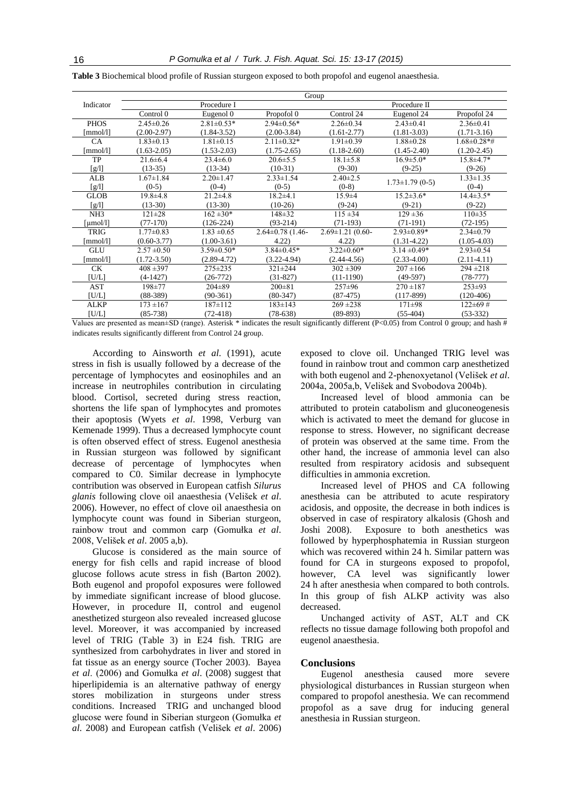|  | <b>Table 3</b> Biochemical blood profile of Russian sturgeon exposed to both propofol and eugenol anaesthesia. |
|--|----------------------------------------------------------------------------------------------------------------|
|  |                                                                                                                |

|                 | Group           |                  |                        |                        |                       |                   |  |
|-----------------|-----------------|------------------|------------------------|------------------------|-----------------------|-------------------|--|
| Indicator       | Procedure I     |                  |                        | Procedure II           |                       |                   |  |
|                 | Control 0       | Eugenol 0        | Propofol 0             | Control 24             | Eugenol 24            | Propofol 24       |  |
| <b>PHOS</b>     | $2.45 \pm 0.26$ | $2.81 \pm 0.53*$ | $2.94 \pm 0.56*$       | $2.26 \pm 0.34$        | $2.43 \pm 0.41$       | $2.36 \pm 0.41$   |  |
| [mmol/l]        | $(2.00-2.97)$   | $(1.84 - 3.52)$  | $(2.00-3.84)$          | $(1.61 - 2.77)$        | $(1.81 - 3.03)$       | $(1.71 - 3.16)$   |  |
| CA              | $1.83 \pm 0.13$ | $1.81 \pm 0.15$  | $2.11 \pm 0.32*$       | $1.91 \pm 0.39$        | $1.88 \pm 0.28$       | $.68 \pm 0.28$ *# |  |
| [mmol/l]        | $(1.63 - 2.05)$ | $(1.53 - 2.03)$  | $(1.75 - 2.65)$        | $(1.18 - 2.60)$        | $(1.45 - 2.40)$       | $(1.20-2.45)$     |  |
| <b>TP</b>       | $21.6 \pm 6.4$  | $23.4\pm 6.0$    | $20.6 \pm 5.5$         | $18.1 \pm 5.8$         | $16.9 \pm 5.0*$       | $15.8 \pm 4.7*$   |  |
| [g/l]           | $(13-35)$       | $(13-34)$        | $(10-31)$              | $(9-30)$               | $(9-25)$              | $(9-26)$          |  |
| <b>ALB</b>      | $1.67 \pm 1.84$ | $2.20 \pm 1.47$  | $2.33 \pm 1.54$        | $2.40 \pm 2.5$         |                       | $1.33 \pm 1.35$   |  |
| [g/l]           | $(0-5)$         | $(0-4)$          | $(0-5)$                | $(0-8)$                | $1.73 \pm 1.79$ (0-5) | $(0-4)$           |  |
| <b>GLOB</b>     | $19.8 + 4.8$    | $21.2+4.8$       | $18.2 \pm 4.1$         | $15.9 + 4$             | $15.2 \pm 3.6*$       | $14.4 \pm 3.5*$   |  |
| [g/l]           | $(13-30)$       | $(13-30)$        | $(10-26)$              | $(9-24)$               | $(9-21)$              | $(9-22)$          |  |
| NH <sub>3</sub> | $121 \pm 28$    | $162 \pm 30*$    | $148 + 32$             | $115 \pm 34$           | $129 + 36$            | $110\pm 35$       |  |
| $mol/l$ ]       | $(77-170)$      | $(126-224)$      | $(93-214)$             | $(71-193)$             | $(71-191)$            | $(72-195)$        |  |
| <b>TRIG</b>     | $1.77 \pm 0.83$ | $1.83 \pm 0.65$  | $2.64 \pm 0.78$ (1.46- | $2.69 \pm 1.21$ (0.60- | $2.93 \pm 0.89*$      | $2.34\pm0.79$     |  |
| [mmol/l]        | $(0.60 - 3.77)$ | $(1.00-3.61)$    | 4.22)                  | 4.22                   | $(1.31 - 4.22)$       | $(1.05-4.03)$     |  |
| <b>GLU</b>      | $2.57 \pm 0.50$ | $3.59 \pm 0.50*$ | $3.84 \pm 0.45*$       | $3.22 \pm 0.60*$       | $3.14 \pm 0.49*$      | $2.93 \pm 0.54$   |  |
| [mmol/l]        | $(1.72 - 3.50)$ | $(2.89 - 4.72)$  | $(3.22 - 4.94)$        | $(2.44 - 4.56)$        | $(2.33-4.00)$         | $(2.11-4.11)$     |  |
| <b>CK</b>       | $408 + 397$     | 275±235          | $321 \pm 244$          | $302 \pm 309$          | $207 \pm 166$         | $294 \pm 218$     |  |
| [U/L]           | $(4-1427)$      | $(26-772)$       | $(31-827)$             | $(11-1190)$            | $(49-597)$            | $(78-777)$        |  |
| <b>AST</b>      | 198±77          | $204 \pm 89$     | $200 \pm 81$           | $257 + 96$             | $270 + 187$           | $253 \pm 93$      |  |
| [U/L]           | $(88-389)$      | $(90-361)$       | $(80-347)$             | $(87-475)$             | $(117-899)$           | $(120-406)$       |  |
| <b>ALKP</b>     | $173 + 167$     | $187 \pm 112$    | $183 \pm 143$          | $269 + 238$            | $171 \pm 98$          | $122 \pm 69$ #    |  |
| [U/L]           | $(85-738)$      | $(72-418)$       | $(78-638)$             | $(89-893)$             | $(55-404)$            | $(53-332)$        |  |

Values are presented as mean±SD (range). Asterisk \* indicates the result significantly different (P<0.05) from Control 0 group; and hash  $#$ indicates results significantly different from Control 24 group.

According to Ainsworth *et al*. (1991), acute stress in fish is usually followed by a decrease of the percentage of lymphocytes and eosinophiles and an increase in neutrophiles contribution in circulating blood. Cortisol, secreted during stress reaction, shortens the life span of lymphocytes and promotes their apoptosis (Wyets *et al*. 1998, Verburg van Kemenade 1999). Thus a decreased lymphocyte count is often observed effect of stress. Eugenol anesthesia in Russian sturgeon was followed by significant decrease of percentage of lymphocytes when compared to C0. Similar decrease in lymphocyte contribution was observed in European catfish *Silurus glanis* following clove oil anaesthesia (Velišek *et al*. 2006). However, no effect of clove oil anaesthesia on lymphocyte count was found in Siberian sturgeon, rainbow trout and common carp (Gomułka *et al*. 2008, Velišek *et al*. 2005 a,b).

Glucose is considered as the main source of energy for fish cells and rapid increase of blood glucose follows acute stress in fish (Barton 2002). Both eugenol and propofol exposures were followed by immediate significant increase of blood glucose. However, in procedure II, control and eugenol anesthetized sturgeon also revealed increased glucose level. Moreover, it was accompanied by increased level of TRIG (Table 3) in E24 fish. TRIG are synthesized from carbohydrates in liver and stored in fat tissue as an energy source (Tocher 2003). Bayea *et al*. (2006) and Gomułka *et al*. (2008) suggest that hiperlipidemia is an alternative pathway of energy stores mobilization in sturgeons under stress conditions. Increased TRIG and unchanged blood glucose were found in Siberian sturgeon (Gomułka *et al*. 2008) and European catfish (Velišek *et al*. 2006) exposed to clove oil. Unchanged TRIG level was found in rainbow trout and common carp anesthetized with both eugenol and 2-phenoxyetanol (Velišek *et al*. 2004a, 2005a,b, Velišek and Svobodova 2004b).

Increased level of blood ammonia can be attributed to protein catabolism and gluconeogenesis which is activated to meet the demand for glucose in response to stress. However, no significant decrease of protein was observed at the same time. From the other hand, the increase of ammonia level can also resulted from respiratory acidosis and subsequent difficulties in ammonia excretion.

Increased level of PHOS and CA following anesthesia can be attributed to acute respiratory acidosis, and opposite, the decrease in both indices is observed in case of respiratory alkalosis (Ghosh and Joshi 2008). Exposure to both anesthetics was followed by hyperphosphatemia in Russian sturgeon which was recovered within 24 h. Similar pattern was found for CA in sturgeons exposed to propofol, however, CA level was significantly lower 24 h after anesthesia when compared to both controls. In this group of fish ALKP activity was also decreased.

Unchanged activity of AST, ALT and CK reflects no tissue damage following both propofol and eugenol anaesthesia.

#### **Conclusions**

Eugenol anesthesia caused more severe physiological disturbances in Russian sturgeon when compared to propofol anesthesia. We can recommend propofol as a save drug for inducing general anesthesia in Russian sturgeon.